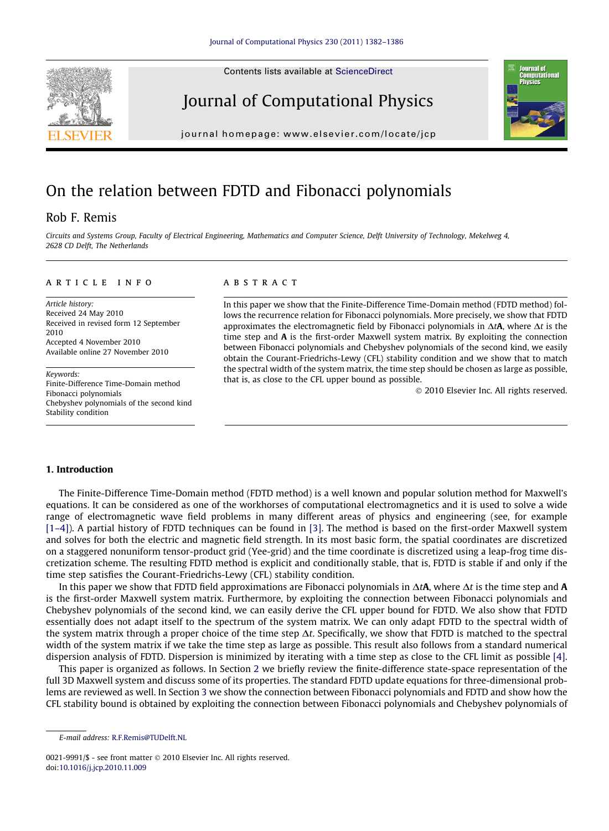Contents lists available at [ScienceDirect](http://www.sciencedirect.com/science/journal/00219991)







journal homepage: [www.elsevier.com/locate/jcp](http://www.elsevier.com/locate/jcp)

# On the relation between FDTD and Fibonacci polynomials

# Rob F. Remis

Circuits and Systems Group, Faculty of Electrical Engineering, Mathematics and Computer Science, Delft University of Technology, Mekelweg 4, 2628 CD Delft, The Netherlands

#### article info

Article history: Received 24 May 2010 Received in revised form 12 September 2010 Accepted 4 November 2010 Available online 27 November 2010

Keywords: Finite-Difference Time-Domain method Fibonacci polynomials Chebyshev polynomials of the second kind Stability condition

## **ABSTRACT**

In this paper we show that the Finite-Difference Time-Domain method (FDTD method) follows the recurrence relation for Fibonacci polynomials. More precisely, we show that FDTD approximates the electromagnetic field by Fibonacci polynomials in  $\Delta t \mathbf{A}$ , where  $\Delta t$  is the time step and A is the first-order Maxwell system matrix. By exploiting the connection between Fibonacci polynomials and Chebyshev polynomials of the second kind, we easily obtain the Courant-Friedrichs-Lewy (CFL) stability condition and we show that to match the spectral width of the system matrix, the time step should be chosen as large as possible, that is, as close to the CFL upper bound as possible.

- 2010 Elsevier Inc. All rights reserved.

### 1. Introduction

The Finite-Difference Time-Domain method (FDTD method) is a well known and popular solution method for Maxwell's equations. It can be considered as one of the workhorses of computational electromagnetics and it is used to solve a wide range of electromagnetic wave field problems in many different areas of physics and engineering (see, for example [\[1–4\]](#page-4-0)). A partial history of FDTD techniques can be found in [\[3\]](#page-4-0). The method is based on the first-order Maxwell system and solves for both the electric and magnetic field strength. In its most basic form, the spatial coordinates are discretized on a staggered nonuniform tensor-product grid (Yee-grid) and the time coordinate is discretized using a leap-frog time discretization scheme. The resulting FDTD method is explicit and conditionally stable, that is, FDTD is stable if and only if the time step satisfies the Courant-Friedrichs-Lewy (CFL) stability condition.

In this paper we show that FDTD field approximations are Fibonacci polynomials in  $\Delta t$ **A**, where  $\Delta t$  is the time step and **A** is the first-order Maxwell system matrix. Furthermore, by exploiting the connection between Fibonacci polynomials and Chebyshev polynomials of the second kind, we can easily derive the CFL upper bound for FDTD. We also show that FDTD essentially does not adapt itself to the spectrum of the system matrix. We can only adapt FDTD to the spectral width of the system matrix through a proper choice of the time step  $\Delta t$ . Specifically, we show that FDTD is matched to the spectral width of the system matrix if we take the time step as large as possible. This result also follows from a standard numerical dispersion analysis of FDTD. Dispersion is minimized by iterating with a time step as close to the CFL limit as possible [\[4\]](#page-4-0).

This paper is organized as follows. In Section 2 we briefly review the finite-difference state-space representation of the full 3D Maxwell system and discuss some of its properties. The standard FDTD update equations for three-dimensional problems are reviewed as well. In Section 3 we show the connection between Fibonacci polynomials and FDTD and show how the CFL stability bound is obtained by exploiting the connection between Fibonacci polynomials and Chebyshev polynomials of

0021-9991/\$ - see front matter © 2010 Elsevier Inc. All rights reserved. doi[:10.1016/j.jcp.2010.11.009](http://dx.doi.org/10.1016/j.jcp.2010.11.009)

E-mail address: [R.F.Remis@TUDelft.NL](mailto:R.F.Remis@TUDelft.NL)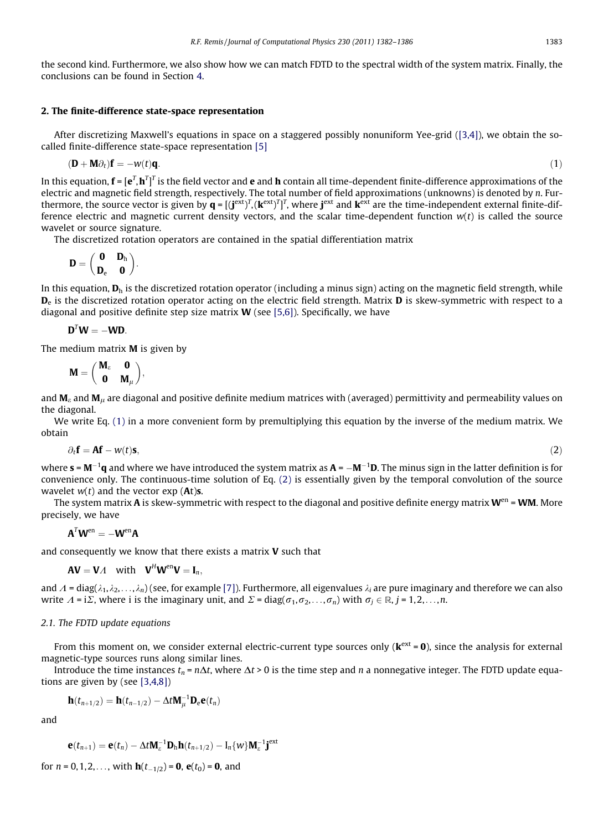the second kind. Furthermore, we also show how we can match FDTD to the spectral width of the system matrix. Finally, the conclusions can be found in Section 4.

#### 2. The finite-difference state-space representation

After discretizing Maxwell's equations in space on a staggered possibly nonuniform Yee-grid [\(\[3,4\]\)](#page-4-0), we obtain the socalled finite-difference state-space representation [\[5\]](#page-4-0)

$$
(\mathbf{D} + \mathbf{M}\partial_t)\mathbf{f} = -\mathbf{w}(t)\mathbf{q}.\tag{1}
$$

In this equation,  $\bf{f}=[e^T,h^T]^T$  is the field vector and  $\bf{e}$  and  $\bf{h}$  contain all time-dependent finite-difference approximations of the electric and magnetic field strength, respectively. The total number of field approximations (unknowns) is denoted by n. Furthermore, the source vector is given by  $\bm{q}=[(\bm{j}^\text{ext})^T,(\bm{k}^\text{ext})^T]^T$ , where  $\bm{j}^\text{ext}$  and  $\bm{k}^\text{ext}$  are the time-independent external finite-difference electric and magnetic current density vectors, and the scalar time-dependent function  $w(t)$  is called the source wavelet or source signature.

The discretized rotation operators are contained in the spatial differentiation matrix

$$
\bm{D} = \begin{pmatrix} \bm{0} & \bm{D}_h \\ \bm{D}_e & \bm{0} \end{pmatrix}.
$$

In this equation,  $D_h$  is the discretized rotation operator (including a minus sign) acting on the magnetic field strength, while  $D<sub>e</sub>$  is the discretized rotation operator acting on the electric field strength. Matrix  $D$  is skew-symmetric with respect to a diagonal and positive definite step size matrix  $W$  (see [\[5,6\]](#page-4-0)). Specifically, we have

$$
\mathbf{D}^T \mathbf{W} = -\mathbf{W} \mathbf{D}.
$$

The medium matrix  $M$  is given by

$$
M = \begin{pmatrix} M_{\epsilon} & \mathbf{0} \\ \mathbf{0} & M_{\mu} \end{pmatrix},
$$

and  $M_e$  and  $M_u$  are diagonal and positive definite medium matrices with (averaged) permittivity and permeability values on the diagonal.

We write Eq. (1) in a more convenient form by premultiplying this equation by the inverse of the medium matrix. We obtain

$$
\partial_t \mathbf{f} = \mathbf{A} \mathbf{f} - w(t) \mathbf{s},\tag{2}
$$

where  ${\bf s}$  =  ${\bf M}^{-1}{\bf q}$  and where we have introduced the system matrix as  ${\bf A}$  =  $-{\bf M}^{-1}{\bf D}.$  The minus sign in the latter definition is for convenience only. The continuous-time solution of Eq. (2) is essentially given by the temporal convolution of the source wavelet  $w(t)$  and the vector exp (At)s.

The system matrix A is skew-symmetric with respect to the diagonal and positive definite energy matrix  $W^{en}$  = WM. More precisely, we have

$$
\mathbf{A}^T \mathbf{W}^{\mathrm{en}} = -\mathbf{W}^{\mathrm{en}} \mathbf{A}
$$

and consequently we know that there exists a matrix  $V$  such that

$$
\mathbf{A}\mathbf{V}=\mathbf{V}\Lambda \quad \text{with} \quad \mathbf{V}^H\mathbf{W}^{\text{en}}\mathbf{V}=\mathbf{I}_n,
$$

and  $A = diag(\lambda_1, \lambda_2, \ldots, \lambda_n)$  (see, for example [\[7\]](#page-4-0)). Furthermore, all eigenvalues  $\lambda_i$  are pure imaginary and therefore we can also write  $\Lambda = i\Sigma$ , where i is the imaginary unit, and  $\Sigma = diag(\sigma_1, \sigma_2, \ldots, \sigma_n)$  with  $\sigma_i \in \mathbb{R}$ ,  $j = 1,2,\ldots,n$ .

#### 2.1. The FDTD update equations

From this moment on, we consider external electric-current type sources only  $(\mathbf{k}^{\text{ext}} = \mathbf{0})$ , since the analysis for external magnetic-type sources runs along similar lines.

Introduce the time instances  $t_n = n\Delta t$ , where  $\Delta t > 0$  is the time step and n a nonnegative integer. The FDTD update equations are given by (see [\[3,4,8\]\)](#page-4-0)

$$
\mathbf{h}(t_{n+1/2}) = \mathbf{h}(t_{n-1/2}) - \Delta t \mathbf{M}_{\mu}^{-1} \mathbf{D}_{e} \mathbf{e}(t_{n})
$$

and

$$
\mathbf{e}(t_{n+1}) = \mathbf{e}(t_n) - \Delta t \mathbf{M}_{\varepsilon}^{-1} \mathbf{D}_{\mathrm{h}} \mathbf{h}(t_{n+1/2}) - \mathbf{I}_n \{w\} \mathbf{M}_{\varepsilon}^{-1} \mathbf{j}^{\mathrm{ext}}
$$

for  $n = 0, 1, 2, \ldots$ , with  $\mathbf{h}(t_{-1/2}) = \mathbf{0}$ ,  $\mathbf{e}(t_0) = \mathbf{0}$ , and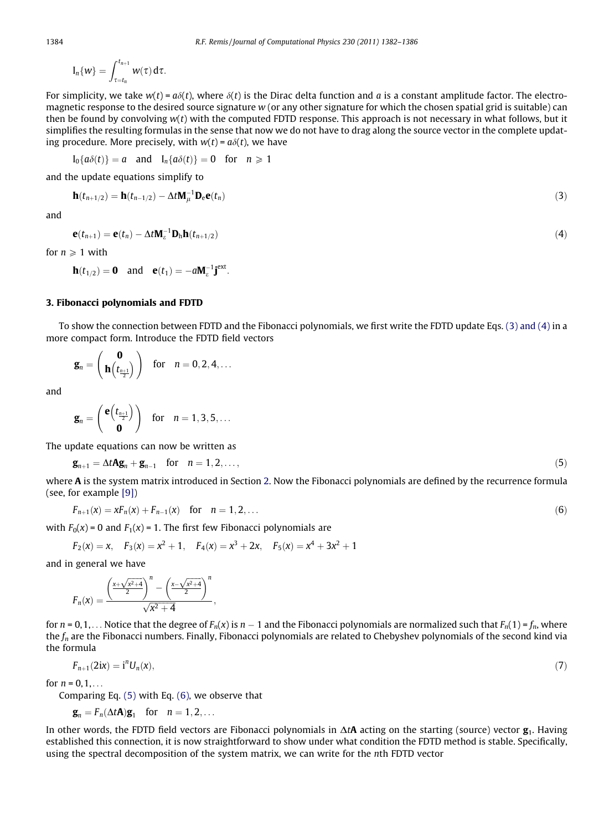$$
I_n\{w\}=\int_{\tau=t_n}^{t_{n+1}}w(\tau)\,d\tau.
$$

For simplicity, we take  $w(t) = a\delta(t)$ , where  $\delta(t)$  is the Dirac delta function and a is a constant amplitude factor. The electromagnetic response to the desired source signature  $w$  (or any other signature for which the chosen spatial grid is suitable) can then be found by convolving  $w(t)$  with the computed FDTD response. This approach is not necessary in what follows, but it simplifies the resulting formulas in the sense that now we do not have to drag along the source vector in the complete updating procedure. More precisely, with  $w(t) = a\delta(t)$ , we have

$$
I_0\{a\delta(t)\}=a \text{ and } I_n\{a\delta(t)\}=0 \text{ for } n\geq 1
$$

and the update equations simplify to

$$
\mathbf{h}(t_{n+1/2}) = \mathbf{h}(t_{n-1/2}) - \Delta t \mathbf{M}_{\mu}^{-1} \mathbf{D}_{e} \mathbf{e}(t_{n})
$$
\n(3)

and

$$
\mathbf{e}(t_{n+1}) = \mathbf{e}(t_n) - \Delta t \mathbf{M}_{\varepsilon}^{-1} \mathbf{D}_{h} \mathbf{h}(t_{n+1/2})
$$
\n<sup>(4)</sup>

for  $n \geq 1$  with

$$
\mathbf{h}(t_{1/2}) = \mathbf{0} \quad \text{and} \quad \mathbf{e}(t_1) = -a \mathbf{M}_{\varepsilon}^{-1} \mathbf{j}^{\text{ext}}.
$$

# 3. Fibonacci polynomials and FDTD

To show the connection between FDTD and the Fibonacci polynomials, we first write the FDTD update Eqs. (3) and (4) in a more compact form. Introduce the FDTD field vectors

$$
\bm{g}_n = \left(\begin{array}{c} \bm{0} \\ \bm{h}\left(t_{\frac{n+1}{2}}\right) \end{array}\right) \quad \text{for} \quad n=0,2,4,\ldots
$$

and

$$
\bm{g}_n = \begin{pmatrix} \bm{e}\Big(\bm{t}_{\frac{n+1}{2}}\Big) \\ \bm{0} \end{pmatrix} \quad \text{for} \quad n=1,3,5,\ldots
$$

The update equations can now be written as

$$
\mathbf{g}_{n+1} = \Delta t \mathbf{A} \mathbf{g}_n + \mathbf{g}_{n-1} \quad \text{for} \quad n = 1, 2, \dots,
$$
 (5)

where A is the system matrix introduced in Section 2. Now the Fibonacci polynomials are defined by the recurrence formula (see, for example [\[9\]\)](#page-4-0)

$$
F_{n+1}(x) = xF_n(x) + F_{n-1}(x) \quad \text{for} \quad n = 1, 2, \dots \tag{6}
$$

with  $F_0(x)$  = 0 and  $F_1(x)$  = 1. The first few Fibonacci polynomials are

$$
F_2(x) = x
$$
,  $F_3(x) = x^2 + 1$ ,  $F_4(x) = x^3 + 2x$ ,  $F_5(x) = x^4 + 3x^2 + 1$ 

and in general we have

$$
F_n(x) = \frac{\left(\frac{x + \sqrt{x^2 + 4}}{2}\right)^n - \left(\frac{x - \sqrt{x^2 + 4}}{2}\right)^n}{\sqrt{x^2 + 4}},
$$

for  $n=0,1,\ldots$  Notice that the degree of  $F_n(x)$  is  $n-1$  and the Fibonacci polynomials are normalized such that  $F_n(1)$  =  $f_n$ , where the  $f_n$  are the Fibonacci numbers. Finally, Fibonacci polynomials are related to Chebyshev polynomials of the second kind via the formula

$$
F_{n+1}(2ix) = \mathbf{i}^n U_n(x),\tag{7}
$$

for  $n = 0, 1, ...$ 

Comparing Eq. (5) with Eq. (6), we observe that

$$
\mathbf{g}_n = F_n(\Delta t \mathbf{A}) \mathbf{g}_1 \quad \text{for} \quad n = 1, 2, \dots
$$

In other words, the FDTD field vectors are Fibonacci polynomials in  $\Delta t$ A acting on the starting (source) vector  $g_1$ . Having established this connection, it is now straightforward to show under what condition the FDTD method is stable. Specifically, using the spectral decomposition of the system matrix, we can write for the nth FDTD vector

<span id="page-2-0"></span>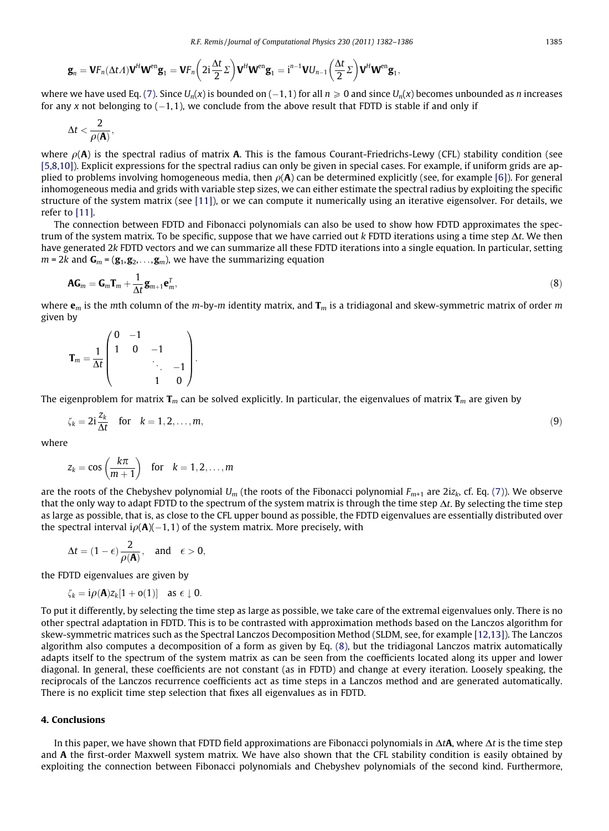$$
\bm{g}_n = \bm{V}\bm{F}_n(\Delta t\bm{\varLambda})\bm{V}^H\bm{W}^{en}\bm{g}_1 = \bm{V}\bm{F}_n\bigg(2i\frac{\Delta t}{2}\bm{\varSigma}\bigg)\bm{V}^H\bm{W}^{en}\bm{g}_1 = i^{n-1}\bm{V}\bm{U}_{n-1}\bigg(\frac{\Delta t}{2}\bm{\varSigma}\bigg)\bm{V}^H\bm{W}^{en}\bm{g}_1,
$$

where we have used Eq. [\(7\)](#page-2-0). Since  $U_n(x)$  is bounded on ( $-1,1$  ) for all  $n\geqslant 0$  and since  $U_n(x)$  becomes unbounded as  $n$  increases for any x not belonging to (–1,1), we conclude from the above result that FDTD is stable if and only if

$$
\Delta t < \frac{2}{\rho(\mathbf{A})},
$$

where  $\rho(A)$  is the spectral radius of matrix A. This is the famous Courant-Friedrichs-Lewy (CFL) stability condition (see [\[5,8,10\]\)](#page-4-0). Explicit expressions for the spectral radius can only be given in special cases. For example, if uniform grids are applied to problems involving homogeneous media, then  $\rho(A)$  can be determined explicitly (see, for example [\[6\]](#page-4-0)). For general inhomogeneous media and grids with variable step sizes, we can either estimate the spectral radius by exploiting the specific structure of the system matrix (see [\[11\]](#page-4-0)), or we can compute it numerically using an iterative eigensolver. For details, we refer to [\[11\]](#page-4-0).

The connection between FDTD and Fibonacci polynomials can also be used to show how FDTD approximates the spectrum of the system matrix. To be specific, suppose that we have carried out  $k$  FDTD iterations using a time step  $\Delta t$ . We then have generated 2k FDTD vectors and we can summarize all these FDTD iterations into a single equation. In particular, setting  $m = 2k$  and  $\mathbf{G}_m = (\mathbf{g}_1, \mathbf{g}_2, \dots, \mathbf{g}_m)$ , we have the summarizing equation

$$
AG_m = G_m T_m + \frac{1}{\Delta t} \mathbf{g}_{m+1} \mathbf{e}_m^T,
$$
\n(8)

where  $\mathbf{e}_m$  is the mth column of the m-by-m identity matrix, and  $\mathbf{T}_m$  is a tridiagonal and skew-symmetric matrix of order m given by

$$
\mathbf{T}_m = \frac{1}{\Delta t} \begin{pmatrix} 0 & -1 & & \\ 1 & 0 & -1 & \\ & & \ddots & -1 \\ & & & 1 & 0 \end{pmatrix}.
$$

The eigenproblem for matrix  $T_m$  can be solved explicitly. In particular, the eigenvalues of matrix  $T_m$  are given by

$$
\zeta_k = 2i \frac{z_k}{\Delta t} \quad \text{for} \quad k = 1, 2, \dots, m,\tag{9}
$$

where

$$
z_k = \cos\left(\frac{k\pi}{m+1}\right) \quad \text{for} \quad k = 1, 2, \dots, m
$$

are the roots of the Chebyshev polynomial  $U_m$  (the roots of the Fibonacci polynomial  $F_{m+1}$  are  $2iz_k$ , cf. Eq. [\(7\)\)](#page-2-0). We observe that the only way to adapt FDTD to the spectrum of the system matrix is through the time step  $\Delta t$ . By selecting the time step as large as possible, that is, as close to the CFL upper bound as possible, the FDTD eigenvalues are essentially distributed over the spectral interval i $\rho(\mathbf{A})(-1,1)$  of the system matrix. More precisely, with

$$
\Delta t=(1-\epsilon)\frac{2}{\rho(\pmb{A})},\quad\text{and}\quad \epsilon>0,
$$

the FDTD eigenvalues are given by

$$
\zeta_k = i \rho(\mathbf{A}) z_k [1 + o(1)] \quad \text{as } \epsilon \downarrow 0.
$$

To put it differently, by selecting the time step as large as possible, we take care of the extremal eigenvalues only. There is no other spectral adaptation in FDTD. This is to be contrasted with approximation methods based on the Lanczos algorithm for skew-symmetric matrices such as the Spectral Lanczos Decomposition Method (SLDM, see, for example [\[12,13\]](#page-4-0)). The Lanczos algorithm also computes a decomposition of a form as given by Eq. (8), but the tridiagonal Lanczos matrix automatically adapts itself to the spectrum of the system matrix as can be seen from the coefficients located along its upper and lower diagonal. In general, these coefficients are not constant (as in FDTD) and change at every iteration. Loosely speaking, the reciprocals of the Lanczos recurrence coefficients act as time steps in a Lanczos method and are generated automatically. There is no explicit time step selection that fixes all eigenvalues as in FDTD.

#### 4. Conclusions

In this paper, we have shown that FDTD field approximations are Fibonacci polynomials in  $\Delta t$ **A**, where  $\Delta t$  is the time step and A the first-order Maxwell system matrix. We have also shown that the CFL stability condition is easily obtained by exploiting the connection between Fibonacci polynomials and Chebyshev polynomials of the second kind. Furthermore,